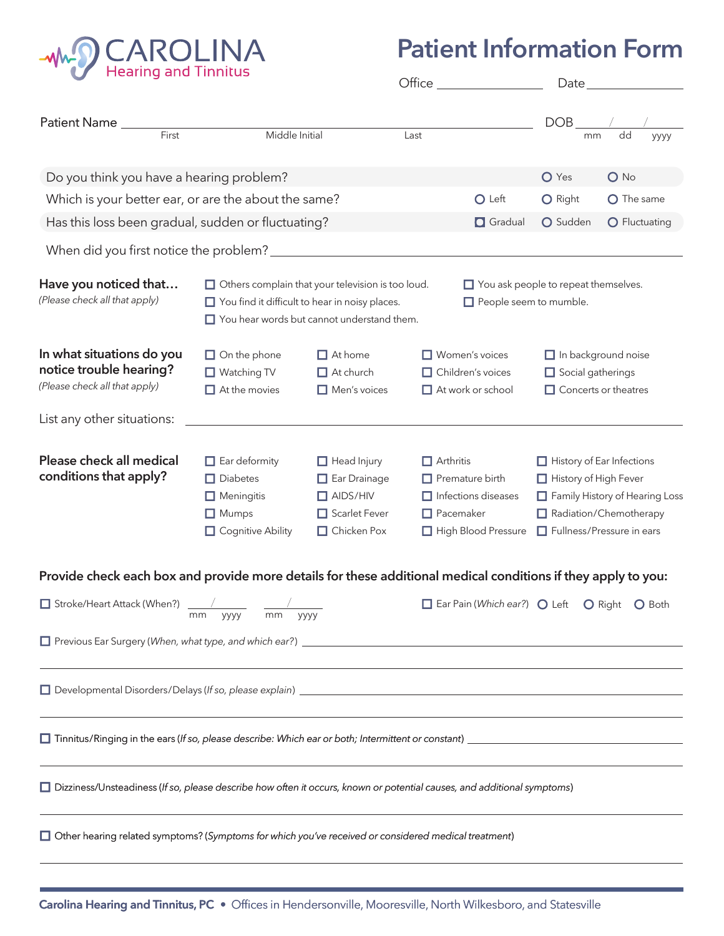

## **Patient Information Form**

|                                                                                                                           |                                                                                                                                                                 |                                                                                                | $Office_$                                                                                                           |                                                                               | Date                                                                                                                                                             |                                                                                       |  |
|---------------------------------------------------------------------------------------------------------------------------|-----------------------------------------------------------------------------------------------------------------------------------------------------------------|------------------------------------------------------------------------------------------------|---------------------------------------------------------------------------------------------------------------------|-------------------------------------------------------------------------------|------------------------------------------------------------------------------------------------------------------------------------------------------------------|---------------------------------------------------------------------------------------|--|
| Patient Name _<br>First                                                                                                   | Middle Initial                                                                                                                                                  |                                                                                                | Last                                                                                                                |                                                                               | DOB<br>mm                                                                                                                                                        | dd<br>уууу                                                                            |  |
|                                                                                                                           |                                                                                                                                                                 |                                                                                                |                                                                                                                     |                                                                               |                                                                                                                                                                  |                                                                                       |  |
| Do you think you have a hearing problem?                                                                                  |                                                                                                                                                                 |                                                                                                |                                                                                                                     |                                                                               | O Yes                                                                                                                                                            | $O$ No                                                                                |  |
| Which is your better ear, or are the about the same?                                                                      |                                                                                                                                                                 |                                                                                                |                                                                                                                     | O Left                                                                        | O Right                                                                                                                                                          | O The same                                                                            |  |
| Has this loss been gradual, sudden or fluctuating?                                                                        |                                                                                                                                                                 |                                                                                                |                                                                                                                     | <b>O</b> Gradual                                                              | O Sudden                                                                                                                                                         | O Fluctuating                                                                         |  |
| When did you first notice the problem?                                                                                    |                                                                                                                                                                 |                                                                                                |                                                                                                                     |                                                                               |                                                                                                                                                                  |                                                                                       |  |
| Have you noticed that<br>(Please check all that apply)                                                                    | $\Box$ Others complain that your television is too loud.<br>You find it difficult to hear in noisy places.<br>$\Box$ You hear words but cannot understand them. |                                                                                                | $\Box$ You ask people to repeat themselves.<br>People seem to mumble.                                               |                                                                               |                                                                                                                                                                  |                                                                                       |  |
| In what situations do you<br>notice trouble hearing?<br>(Please check all that apply)                                     | $\Box$ On the phone<br>$\Box$ Watching TV<br>$\Box$ At the movies                                                                                               | $\Box$ At home<br>$\Box$ At church<br>$\Box$ Men's voices                                      |                                                                                                                     | $\Box$ Women's voices<br>$\Box$ Children's voices<br>$\Box$ At work or school |                                                                                                                                                                  | $\Box$ In background noise<br>$\Box$ Social gatherings<br>$\Box$ Concerts or theatres |  |
| List any other situations:                                                                                                |                                                                                                                                                                 |                                                                                                |                                                                                                                     |                                                                               |                                                                                                                                                                  |                                                                                       |  |
| Please check all medical<br>conditions that apply?                                                                        | $\Box$ Ear deformity<br>$\Box$ Diabetes<br>$\Box$ Meningitis<br>$\Box$ Mumps<br>Cognitive Ability                                                               | $\Box$ Head Injury<br>$\Box$ Ear Drainage<br>$\Box$ AIDS/HIV<br>Scarlet Fever<br>□ Chicken Pox | $\Box$ Arthritis<br>$\Box$ Premature birth<br>$\Box$ Infections diseases<br>$\Box$ Pacemaker<br>High Blood Pressure |                                                                               | $\Box$ History of Ear Infections<br>$\Box$ History of High Fever<br>Family History of Hearing Loss<br>Radiation/Chemotherapy<br>$\Box$ Fullness/Pressure in ears |                                                                                       |  |
| Provide check each box and provide more details for these additional medical conditions if they apply to you:             |                                                                                                                                                                 |                                                                                                |                                                                                                                     |                                                                               |                                                                                                                                                                  |                                                                                       |  |
| Stroke/Heart Attack (When?)                                                                                               | mm<br>mm<br>уууу                                                                                                                                                | уууу                                                                                           |                                                                                                                     | $\Box$ Ear Pain (Which ear?) $\bigcirc$ Left                                  |                                                                                                                                                                  | O Right<br>O Both                                                                     |  |
|                                                                                                                           |                                                                                                                                                                 |                                                                                                |                                                                                                                     |                                                                               |                                                                                                                                                                  |                                                                                       |  |
|                                                                                                                           |                                                                                                                                                                 |                                                                                                |                                                                                                                     |                                                                               |                                                                                                                                                                  |                                                                                       |  |
|                                                                                                                           |                                                                                                                                                                 |                                                                                                |                                                                                                                     |                                                                               |                                                                                                                                                                  |                                                                                       |  |
| □ Dizziness/Unsteadiness (If so, please describe how often it occurs, known or potential causes, and additional symptoms) |                                                                                                                                                                 |                                                                                                |                                                                                                                     |                                                                               |                                                                                                                                                                  |                                                                                       |  |
| □ Other hearing related symptoms? (Symptoms for which you've received or considered medical treatment)                    |                                                                                                                                                                 |                                                                                                |                                                                                                                     |                                                                               |                                                                                                                                                                  |                                                                                       |  |
|                                                                                                                           |                                                                                                                                                                 |                                                                                                |                                                                                                                     |                                                                               |                                                                                                                                                                  |                                                                                       |  |